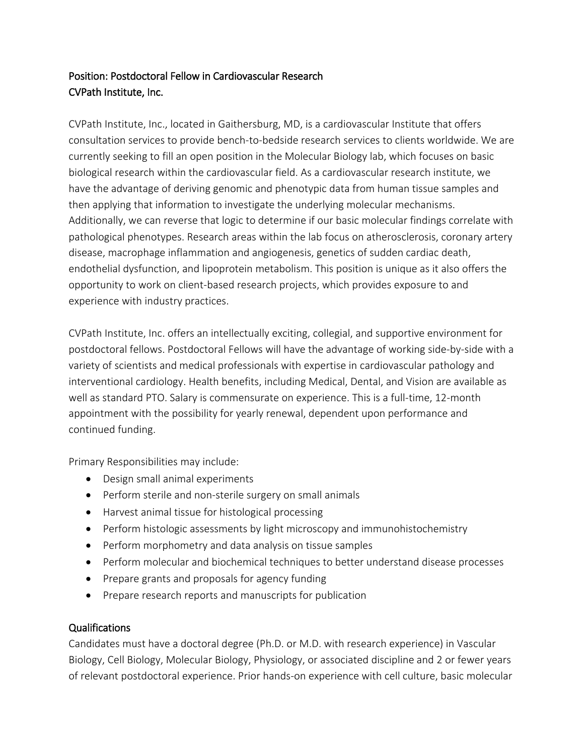## Position: Postdoctoral Fellow in Cardiovascular Research CVPath Institute, Inc.

CVPath Institute, Inc., located in Gaithersburg, MD, is a cardiovascular Institute that offers consultation services to provide bench-to-bedside research services to clients worldwide. We are currently seeking to fill an open position in the Molecular Biology lab, which focuses on basic biological research within the cardiovascular field. As a cardiovascular research institute, we have the advantage of deriving genomic and phenotypic data from human tissue samples and then applying that information to investigate the underlying molecular mechanisms. Additionally, we can reverse that logic to determine if our basic molecular findings correlate with pathological phenotypes. Research areas within the lab focus on atherosclerosis, coronary artery disease, macrophage inflammation and angiogenesis, genetics of sudden cardiac death, endothelial dysfunction, and lipoprotein metabolism. This position is unique as it also offers the opportunity to work on client-based research projects, which provides exposure to and experience with industry practices.

CVPath Institute, Inc. offers an intellectually exciting, collegial, and supportive environment for postdoctoral fellows. Postdoctoral Fellows will have the advantage of working side-by-side with a variety of scientists and medical professionals with expertise in cardiovascular pathology and interventional cardiology. Health benefits, including Medical, Dental, and Vision are available as well as standard PTO. Salary is commensurate on experience. This is a full-time, 12-month appointment with the possibility for yearly renewal, dependent upon performance and continued funding.

Primary Responsibilities may include:

- Design small animal experiments
- Perform sterile and non-sterile surgery on small animals
- Harvest animal tissue for histological processing
- Perform histologic assessments by light microscopy and immunohistochemistry
- Perform morphometry and data analysis on tissue samples
- Perform molecular and biochemical techniques to better understand disease processes
- Prepare grants and proposals for agency funding
- Prepare research reports and manuscripts for publication

## Qualifications

Candidates must have a doctoral degree (Ph.D. or M.D. with research experience) in Vascular Biology, Cell Biology, Molecular Biology, Physiology, or associated discipline and 2 or fewer years of relevant postdoctoral experience. Prior hands-on experience with cell culture, basic molecular